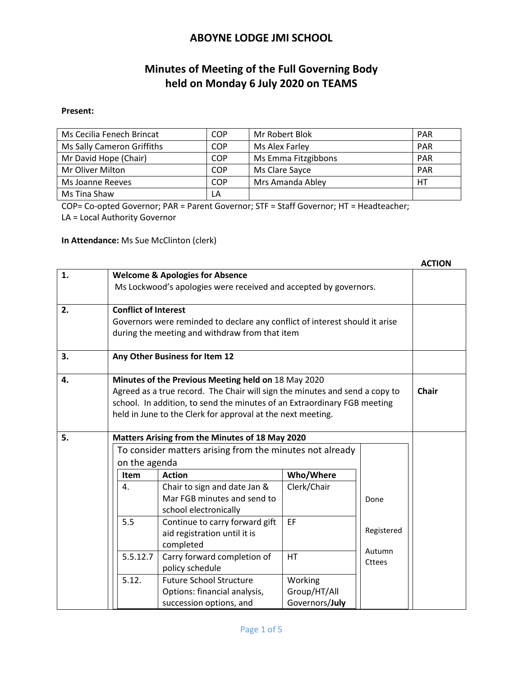# **Minutes of Meeting of the Full Governing Body held on Monday 6 July 2020 on TEAMS**

#### **Present:**

| Ms Cecilia Fenech Brincat  | COP        | Mr Robert Blok      | <b>PAR</b> |
|----------------------------|------------|---------------------|------------|
| Ms Sally Cameron Griffiths | <b>COP</b> | Ms Alex Farley      | <b>PAR</b> |
| Mr David Hope (Chair)      | <b>COP</b> | Ms Emma Fitzgibbons | <b>PAR</b> |
| Mr Oliver Milton           | COP        | Ms Clare Sayce      | <b>PAR</b> |
| Ms Joanne Reeves           | COP        | Mrs Amanda Abley    | HТ         |
| Ms Tina Shaw               | LA         |                     |            |

COP= Co-opted Governor; PAR = Parent Governor; STF = Staff Governor; HT = Headteacher;

LA = Local Authority Governor

**In Attendance:** Ms Sue McClinton (clerk)

|    |                                                                                                                |                                                                             |                                                                             |                         |            | <b>ACTION</b> |  |
|----|----------------------------------------------------------------------------------------------------------------|-----------------------------------------------------------------------------|-----------------------------------------------------------------------------|-------------------------|------------|---------------|--|
| 1. | <b>Welcome &amp; Apologies for Absence</b><br>Ms Lockwood's apologies were received and accepted by governors. |                                                                             |                                                                             |                         |            |               |  |
|    |                                                                                                                |                                                                             |                                                                             |                         |            |               |  |
| 2. | <b>Conflict of Interest</b>                                                                                    |                                                                             |                                                                             |                         |            |               |  |
|    |                                                                                                                |                                                                             | Governors were reminded to declare any conflict of interest should it arise |                         |            |               |  |
|    |                                                                                                                |                                                                             | during the meeting and withdraw from that item                              |                         |            |               |  |
| 3. | Any Other Business for Item 12                                                                                 |                                                                             |                                                                             |                         |            |               |  |
| 4. | Minutes of the Previous Meeting held on 18 May 2020                                                            |                                                                             |                                                                             |                         |            |               |  |
|    |                                                                                                                | Agreed as a true record. The Chair will sign the minutes and send a copy to |                                                                             |                         |            |               |  |
|    | school. In addition, to send the minutes of an Extraordinary FGB meeting                                       |                                                                             |                                                                             |                         |            |               |  |
|    | held in June to the Clerk for approval at the next meeting.                                                    |                                                                             |                                                                             |                         |            |               |  |
| 5. | Matters Arising from the Minutes of 18 May 2020                                                                |                                                                             |                                                                             |                         |            |               |  |
|    |                                                                                                                | To consider matters arising from the minutes not already                    |                                                                             |                         |            |               |  |
|    |                                                                                                                | on the agenda                                                               |                                                                             |                         |            |               |  |
|    |                                                                                                                | <b>Item</b>                                                                 | <b>Action</b>                                                               | Who/Where               |            |               |  |
|    |                                                                                                                | 4.                                                                          | Chair to sign and date Jan &                                                | Clerk/Chair             |            |               |  |
|    |                                                                                                                |                                                                             | Mar FGB minutes and send to                                                 |                         | Done       |               |  |
|    |                                                                                                                |                                                                             | school electronically                                                       |                         |            |               |  |
|    |                                                                                                                | 5.5                                                                         | Continue to carry forward gift                                              | EF                      | Registered |               |  |
|    |                                                                                                                |                                                                             | aid registration until it is                                                |                         |            |               |  |
|    |                                                                                                                |                                                                             | completed                                                                   |                         | Autumn     |               |  |
|    |                                                                                                                | 5.5.12.7                                                                    | Carry forward completion of                                                 | <b>HT</b>               | Cttees     |               |  |
|    |                                                                                                                | 5.12.                                                                       | policy schedule<br><b>Future School Structure</b>                           |                         |            |               |  |
|    |                                                                                                                |                                                                             | Options: financial analysis,                                                | Working<br>Group/HT/All |            |               |  |
|    |                                                                                                                |                                                                             | succession options, and                                                     | Governors/July          |            |               |  |
|    |                                                                                                                |                                                                             |                                                                             |                         |            |               |  |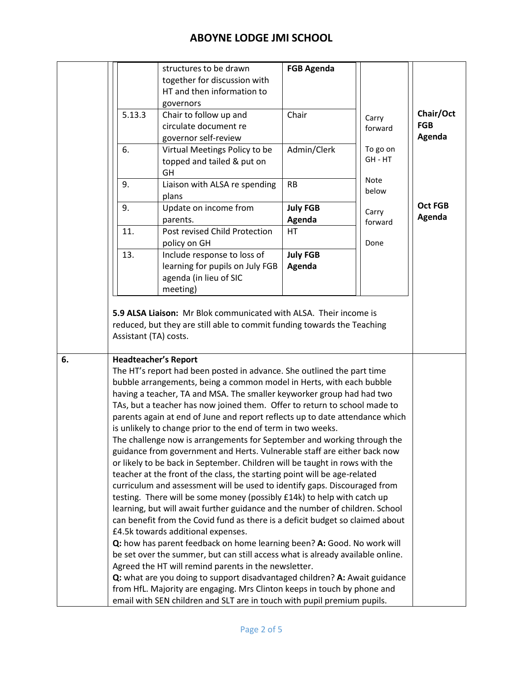|                                                                           | structures to be drawn        | <b>FGB Agenda</b>                                                                                                                                                                                                                                                                                                                                                                                                                                                       |                                                                                                                                                                                                                                      |                                                                                                                                                                                                                                                                                                                                                                                                                                                                                                                                                                                                                                                                                                                                                                                    |
|---------------------------------------------------------------------------|-------------------------------|-------------------------------------------------------------------------------------------------------------------------------------------------------------------------------------------------------------------------------------------------------------------------------------------------------------------------------------------------------------------------------------------------------------------------------------------------------------------------|--------------------------------------------------------------------------------------------------------------------------------------------------------------------------------------------------------------------------------------|------------------------------------------------------------------------------------------------------------------------------------------------------------------------------------------------------------------------------------------------------------------------------------------------------------------------------------------------------------------------------------------------------------------------------------------------------------------------------------------------------------------------------------------------------------------------------------------------------------------------------------------------------------------------------------------------------------------------------------------------------------------------------------|
|                                                                           |                               |                                                                                                                                                                                                                                                                                                                                                                                                                                                                         |                                                                                                                                                                                                                                      |                                                                                                                                                                                                                                                                                                                                                                                                                                                                                                                                                                                                                                                                                                                                                                                    |
|                                                                           |                               |                                                                                                                                                                                                                                                                                                                                                                                                                                                                         |                                                                                                                                                                                                                                      |                                                                                                                                                                                                                                                                                                                                                                                                                                                                                                                                                                                                                                                                                                                                                                                    |
|                                                                           |                               |                                                                                                                                                                                                                                                                                                                                                                                                                                                                         |                                                                                                                                                                                                                                      |                                                                                                                                                                                                                                                                                                                                                                                                                                                                                                                                                                                                                                                                                                                                                                                    |
|                                                                           |                               |                                                                                                                                                                                                                                                                                                                                                                                                                                                                         |                                                                                                                                                                                                                                      | Chair/Oct                                                                                                                                                                                                                                                                                                                                                                                                                                                                                                                                                                                                                                                                                                                                                                          |
|                                                                           |                               |                                                                                                                                                                                                                                                                                                                                                                                                                                                                         |                                                                                                                                                                                                                                      | <b>FGB</b>                                                                                                                                                                                                                                                                                                                                                                                                                                                                                                                                                                                                                                                                                                                                                                         |
|                                                                           |                               |                                                                                                                                                                                                                                                                                                                                                                                                                                                                         |                                                                                                                                                                                                                                      | Agenda                                                                                                                                                                                                                                                                                                                                                                                                                                                                                                                                                                                                                                                                                                                                                                             |
|                                                                           |                               |                                                                                                                                                                                                                                                                                                                                                                                                                                                                         |                                                                                                                                                                                                                                      |                                                                                                                                                                                                                                                                                                                                                                                                                                                                                                                                                                                                                                                                                                                                                                                    |
|                                                                           |                               |                                                                                                                                                                                                                                                                                                                                                                                                                                                                         |                                                                                                                                                                                                                                      |                                                                                                                                                                                                                                                                                                                                                                                                                                                                                                                                                                                                                                                                                                                                                                                    |
|                                                                           | GH                            |                                                                                                                                                                                                                                                                                                                                                                                                                                                                         |                                                                                                                                                                                                                                      |                                                                                                                                                                                                                                                                                                                                                                                                                                                                                                                                                                                                                                                                                                                                                                                    |
| 9.                                                                        |                               | <b>RB</b>                                                                                                                                                                                                                                                                                                                                                                                                                                                               |                                                                                                                                                                                                                                      |                                                                                                                                                                                                                                                                                                                                                                                                                                                                                                                                                                                                                                                                                                                                                                                    |
|                                                                           | plans                         |                                                                                                                                                                                                                                                                                                                                                                                                                                                                         |                                                                                                                                                                                                                                      |                                                                                                                                                                                                                                                                                                                                                                                                                                                                                                                                                                                                                                                                                                                                                                                    |
| 9.                                                                        |                               |                                                                                                                                                                                                                                                                                                                                                                                                                                                                         |                                                                                                                                                                                                                                      | <b>Oct FGB</b>                                                                                                                                                                                                                                                                                                                                                                                                                                                                                                                                                                                                                                                                                                                                                                     |
|                                                                           |                               |                                                                                                                                                                                                                                                                                                                                                                                                                                                                         |                                                                                                                                                                                                                                      | Agenda                                                                                                                                                                                                                                                                                                                                                                                                                                                                                                                                                                                                                                                                                                                                                                             |
|                                                                           | Post revised Child Protection |                                                                                                                                                                                                                                                                                                                                                                                                                                                                         |                                                                                                                                                                                                                                      |                                                                                                                                                                                                                                                                                                                                                                                                                                                                                                                                                                                                                                                                                                                                                                                    |
|                                                                           |                               |                                                                                                                                                                                                                                                                                                                                                                                                                                                                         | Done                                                                                                                                                                                                                                 |                                                                                                                                                                                                                                                                                                                                                                                                                                                                                                                                                                                                                                                                                                                                                                                    |
| 13.                                                                       |                               |                                                                                                                                                                                                                                                                                                                                                                                                                                                                         |                                                                                                                                                                                                                                      |                                                                                                                                                                                                                                                                                                                                                                                                                                                                                                                                                                                                                                                                                                                                                                                    |
|                                                                           |                               |                                                                                                                                                                                                                                                                                                                                                                                                                                                                         |                                                                                                                                                                                                                                      |                                                                                                                                                                                                                                                                                                                                                                                                                                                                                                                                                                                                                                                                                                                                                                                    |
|                                                                           |                               |                                                                                                                                                                                                                                                                                                                                                                                                                                                                         |                                                                                                                                                                                                                                      |                                                                                                                                                                                                                                                                                                                                                                                                                                                                                                                                                                                                                                                                                                                                                                                    |
|                                                                           |                               |                                                                                                                                                                                                                                                                                                                                                                                                                                                                         |                                                                                                                                                                                                                                      |                                                                                                                                                                                                                                                                                                                                                                                                                                                                                                                                                                                                                                                                                                                                                                                    |
|                                                                           |                               |                                                                                                                                                                                                                                                                                                                                                                                                                                                                         |                                                                                                                                                                                                                                      |                                                                                                                                                                                                                                                                                                                                                                                                                                                                                                                                                                                                                                                                                                                                                                                    |
| teacher at the front of the class, the starting point will be age-related |                               |                                                                                                                                                                                                                                                                                                                                                                                                                                                                         |                                                                                                                                                                                                                                      |                                                                                                                                                                                                                                                                                                                                                                                                                                                                                                                                                                                                                                                                                                                                                                                    |
|                                                                           | 5.13.3<br>6.<br>11.           | together for discussion with<br>HT and then information to<br>governors<br>Chair to follow up and<br>circulate document re<br>governor self-review<br>Virtual Meetings Policy to be<br>topped and tailed & put on<br>Liaison with ALSA re spending<br>Update on income from<br>parents.<br>policy on GH<br>Include response to loss of<br>learning for pupils on July FGB<br>agenda (in lieu of SIC<br>meeting)<br>Assistant (TA) costs.<br><b>Headteacher's Report</b> | Chair<br>Admin/Clerk<br><b>July FGB</b><br>Agenda<br>HT.<br><b>July FGB</b><br>Agenda<br>is unlikely to change prior to the end of term in two weeks.<br>or likely to be back in September. Children will be taught in rows with the | Carry<br>forward<br>To go on<br>GH - HT<br><b>Note</b><br>below<br>Carry<br>forward<br>5.9 ALSA Liaison: Mr Blok communicated with ALSA. Their income is<br>reduced, but they are still able to commit funding towards the Teaching<br>The HT's report had been posted in advance. She outlined the part time<br>bubble arrangements, being a common model in Herts, with each bubble<br>having a teacher, TA and MSA. The smaller keyworker group had had two<br>TAs, but a teacher has now joined them. Offer to return to school made to<br>parents again at end of June and report reflects up to date attendance which<br>The challenge now is arrangements for September and working through the<br>guidance from government and Herts. Vulnerable staff are either back now |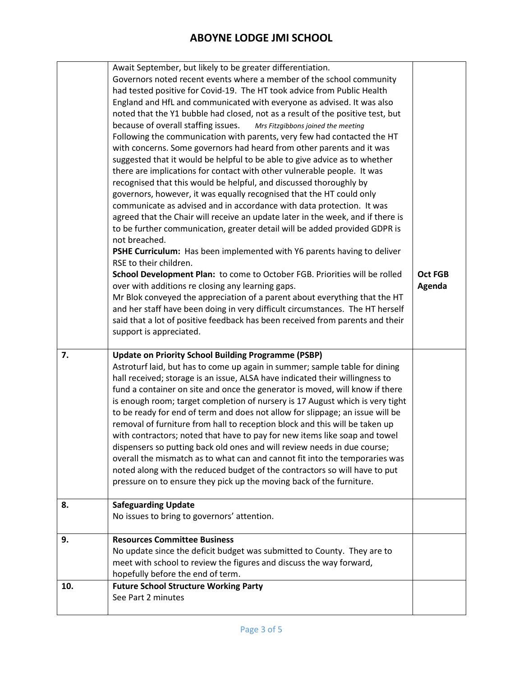|     | Await September, but likely to be greater differentiation.                      |                |
|-----|---------------------------------------------------------------------------------|----------------|
|     | Governors noted recent events where a member of the school community            |                |
|     | had tested positive for Covid-19. The HT took advice from Public Health         |                |
|     | England and HfL and communicated with everyone as advised. It was also          |                |
|     | noted that the Y1 bubble had closed, not as a result of the positive test, but  |                |
|     | because of overall staffing issues.<br>Mrs Fitzgibbons joined the meeting       |                |
|     | Following the communication with parents, very few had contacted the HT         |                |
|     | with concerns. Some governors had heard from other parents and it was           |                |
|     | suggested that it would be helpful to be able to give advice as to whether      |                |
|     | there are implications for contact with other vulnerable people. It was         |                |
|     | recognised that this would be helpful, and discussed thoroughly by              |                |
|     | governors, however, it was equally recognised that the HT could only            |                |
|     | communicate as advised and in accordance with data protection. It was           |                |
|     | agreed that the Chair will receive an update later in the week, and if there is |                |
|     | to be further communication, greater detail will be added provided GDPR is      |                |
|     | not breached.                                                                   |                |
|     | PSHE Curriculum: Has been implemented with Y6 parents having to deliver         |                |
|     | RSE to their children.                                                          |                |
|     | School Development Plan: to come to October FGB. Priorities will be rolled      | <b>Oct FGB</b> |
|     | over with additions re closing any learning gaps.                               | Agenda         |
|     | Mr Blok conveyed the appreciation of a parent about everything that the HT      |                |
|     | and her staff have been doing in very difficult circumstances. The HT herself   |                |
|     | said that a lot of positive feedback has been received from parents and their   |                |
|     | support is appreciated.                                                         |                |
|     |                                                                                 |                |
| 7.  | <b>Update on Priority School Building Programme (PSBP)</b>                      |                |
|     | Astroturf laid, but has to come up again in summer; sample table for dining     |                |
|     | hall received; storage is an issue, ALSA have indicated their willingness to    |                |
|     | fund a container on site and once the generator is moved, will know if there    |                |
|     | is enough room; target completion of nursery is 17 August which is very tight   |                |
|     | to be ready for end of term and does not allow for slippage; an issue will be   |                |
|     | removal of furniture from hall to reception block and this will be taken up     |                |
|     | with contractors; noted that have to pay for new items like soap and towel      |                |
|     | dispensers so putting back old ones and will review needs in due course;        |                |
|     | overall the mismatch as to what can and cannot fit into the temporaries was     |                |
|     | noted along with the reduced budget of the contractors so will have to put      |                |
|     | pressure on to ensure they pick up the moving back of the furniture.            |                |
|     |                                                                                 |                |
| 8.  | <b>Safeguarding Update</b>                                                      |                |
|     | No issues to bring to governors' attention.                                     |                |
|     |                                                                                 |                |
|     |                                                                                 |                |
| 9.  | <b>Resources Committee Business</b>                                             |                |
|     | No update since the deficit budget was submitted to County. They are to         |                |
|     | meet with school to review the figures and discuss the way forward,             |                |
|     | hopefully before the end of term.                                               |                |
| 10. | <b>Future School Structure Working Party</b>                                    |                |
|     | See Part 2 minutes                                                              |                |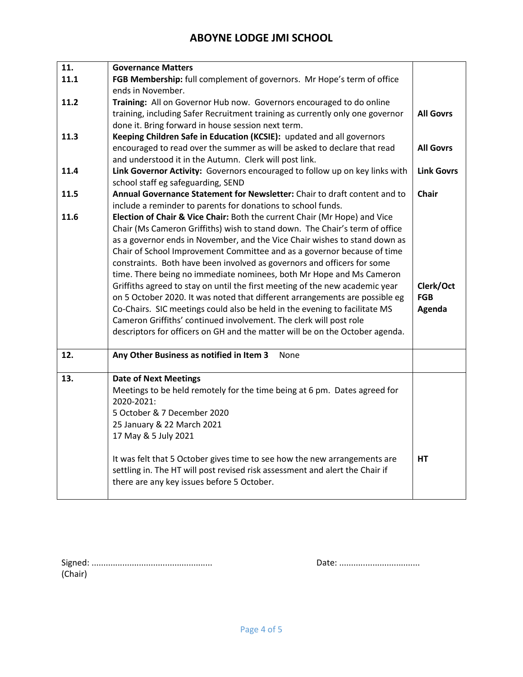| 11.  | <b>Governance Matters</b>                                                                                                                 |                   |
|------|-------------------------------------------------------------------------------------------------------------------------------------------|-------------------|
| 11.1 | FGB Membership: full complement of governors. Mr Hope's term of office                                                                    |                   |
|      | ends in November.                                                                                                                         |                   |
| 11.2 | Training: All on Governor Hub now. Governors encouraged to do online                                                                      |                   |
|      | training, including Safer Recruitment training as currently only one governor                                                             | <b>All Govrs</b>  |
|      | done it. Bring forward in house session next term.                                                                                        |                   |
| 11.3 | Keeping Children Safe in Education (KCSIE): updated and all governors                                                                     |                   |
|      | encouraged to read over the summer as will be asked to declare that read                                                                  | <b>All Govrs</b>  |
|      | and understood it in the Autumn. Clerk will post link.                                                                                    |                   |
| 11.4 | Link Governor Activity: Governors encouraged to follow up on key links with                                                               | <b>Link Govrs</b> |
|      | school staff eg safeguarding, SEND                                                                                                        |                   |
| 11.5 | Annual Governance Statement for Newsletter: Chair to draft content and to<br>include a reminder to parents for donations to school funds. | <b>Chair</b>      |
| 11.6 | Election of Chair & Vice Chair: Both the current Chair (Mr Hope) and Vice                                                                 |                   |
|      | Chair (Ms Cameron Griffiths) wish to stand down. The Chair's term of office                                                               |                   |
|      | as a governor ends in November, and the Vice Chair wishes to stand down as                                                                |                   |
|      | Chair of School Improvement Committee and as a governor because of time                                                                   |                   |
|      | constraints. Both have been involved as governors and officers for some                                                                   |                   |
|      | time. There being no immediate nominees, both Mr Hope and Ms Cameron                                                                      |                   |
|      | Griffiths agreed to stay on until the first meeting of the new academic year                                                              | Clerk/Oct         |
|      | on 5 October 2020. It was noted that different arrangements are possible eg                                                               | <b>FGB</b>        |
|      | Co-Chairs. SIC meetings could also be held in the evening to facilitate MS                                                                | Agenda            |
|      | Cameron Griffiths' continued involvement. The clerk will post role                                                                        |                   |
|      | descriptors for officers on GH and the matter will be on the October agenda.                                                              |                   |
|      |                                                                                                                                           |                   |
| 12.  | Any Other Business as notified in Item 3<br>None                                                                                          |                   |
| 13.  | <b>Date of Next Meetings</b>                                                                                                              |                   |
|      | Meetings to be held remotely for the time being at 6 pm. Dates agreed for                                                                 |                   |
|      | 2020-2021:                                                                                                                                |                   |
|      | 5 October & 7 December 2020                                                                                                               |                   |
|      | 25 January & 22 March 2021                                                                                                                |                   |
|      | 17 May & 5 July 2021                                                                                                                      |                   |
|      |                                                                                                                                           |                   |
|      |                                                                                                                                           |                   |
|      | It was felt that 5 October gives time to see how the new arrangements are                                                                 | HT                |
|      | settling in. The HT will post revised risk assessment and alert the Chair if<br>there are any key issues before 5 October.                |                   |

| (Chair) |  |
|---------|--|

|--|--|--|--|